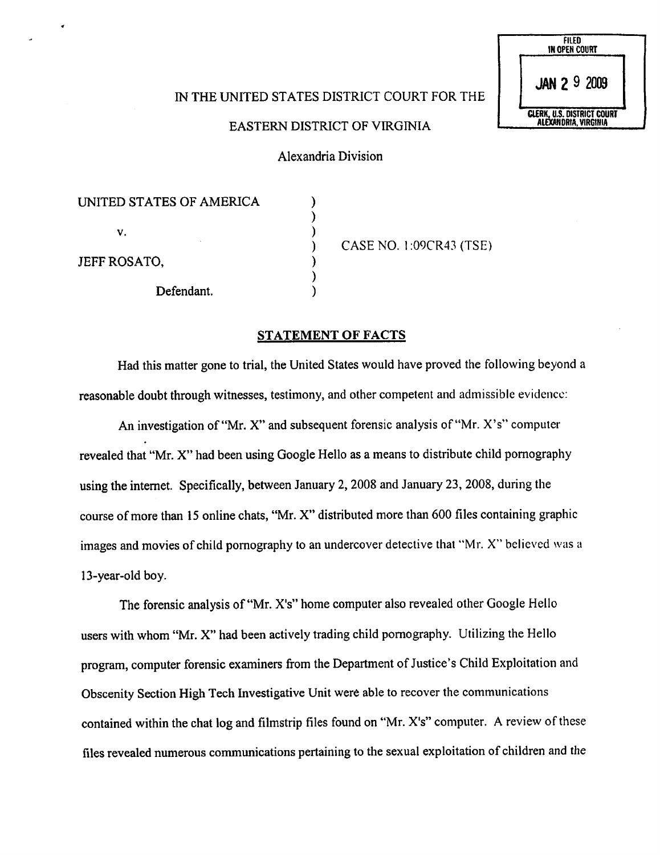| IN THE UNITED STATES DISTRICT COURT FOR THE |  |
|---------------------------------------------|--|
|                                             |  |

## EASTERN DISTRICT OF VIRGINIA

Alexandria Division

 $\mathcal{E}$ 

 $\mathcal{E}$ ⟩

| UNITED STATES OF AMERICA |  |
|--------------------------|--|
| v.                       |  |
| JEFF ROSATO,             |  |
| Defendant.               |  |

) CASE NO. l:09CR43(TSE)

FILED<br>IN OPEN COURT

JAN 2 9 2009

**CLERK, U.S. DISTRICT COURT**<br>ALEXANDRIA, VIRGINIA

## STATEMENT OF FACTS

Had this matter gone to trial, the United States would have proved the following beyond a reasonable doubt through witnesses, testimony, and other competent and admissible evidence:

An investigation of "Mr. X" and subsequent forensic analysis of "Mr. X's" computer revealed that "Mr. X" had been using Google Hello as a means to distribute child pornography using the internet. Specifically, between January 2,2008 and January 23, 2008, during the course of more than 15 online chats, "Mr. X" distributed more than 600 files containing graphic images and movies of child pornography to an undercover detective that "Mr. X" believed was a 13-year-old boy.

The forensic analysis of "Mr. X's" home computer also revealed other Google Hello users with whom "Mr. X" had been actively trading child pornography. Utilizing the Hello program, computer forensic examiners from the Department of Justice's Child Exploitation and Obscenity Section High Tech Investigative Unit were able to recover the communications contained within the chat log and filmstrip files found on "Mr. X's" computer. A review of these files revealed numerous communications pertaining to the sexual exploitation of children and the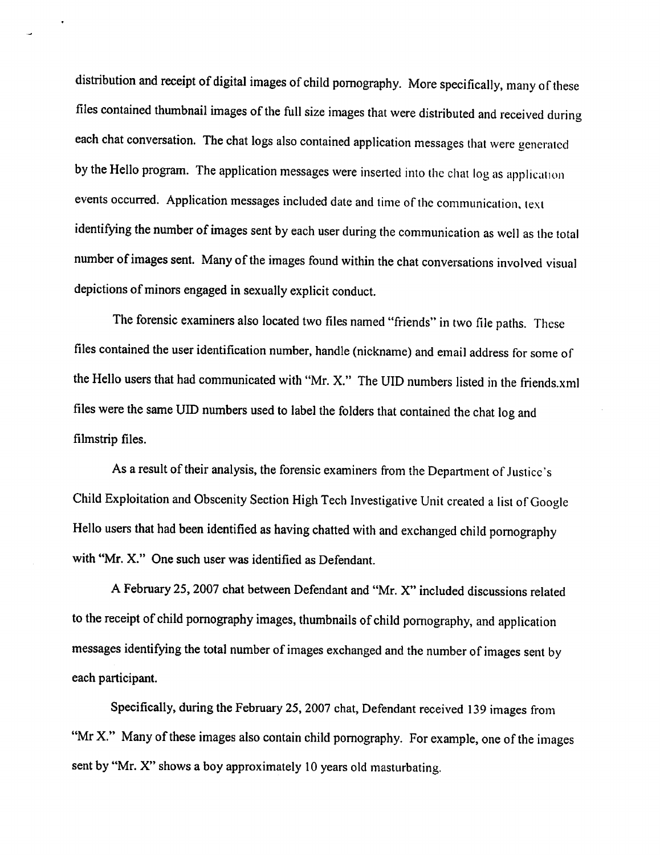distribution and receipt of digital images of child pornography. More specifically, many of these files contained thumbnail images of the full size images that were distributed and received during each chat conversation. The chat logs also contained application messages that were generated by the Hello program. The application messages were inserted into the chat log as application events occurred. Application messages included date and time of the communication, texi identifying the number of images sent by each user during the communication as well as the total number of images sent. Many of the images found within the chat conversations involved visual depictions of minors engaged in sexually explicit conduct.

The forensic examiners also located two files named "friends" in two file paths. These files contained the user identification number, handle (nickname) and email address for some of the Hello users that had communicated with "Mr. X." The UID numbers listed in the friends.xml files were the same UID numbers used to label the folders that contained the chat log and filmstrip files.

As a result of their analysis, the forensic examiners from the Department of Justice's Child Exploitation and Obscenity Section High Tech Investigative Unit created a list of Google Hello users that had been identified as having chatted with and exchanged child pornography with "Mr. X." One such user was identified as Defendant.

A February 25,2007 chat between Defendant and "Mr. X" included discussions related to the receipt of child pornography images, thumbnails of child pornography, and application messages identifying the total number of images exchanged and the number of images sent by each participant.

Specifically, during the February 25, 2007 chat, Defendant received 139 images from "Mr X." Many of these images also contain child pornography. For example, one of the images sent by "Mr. X" shows a boy approximately 10 years old masturbating.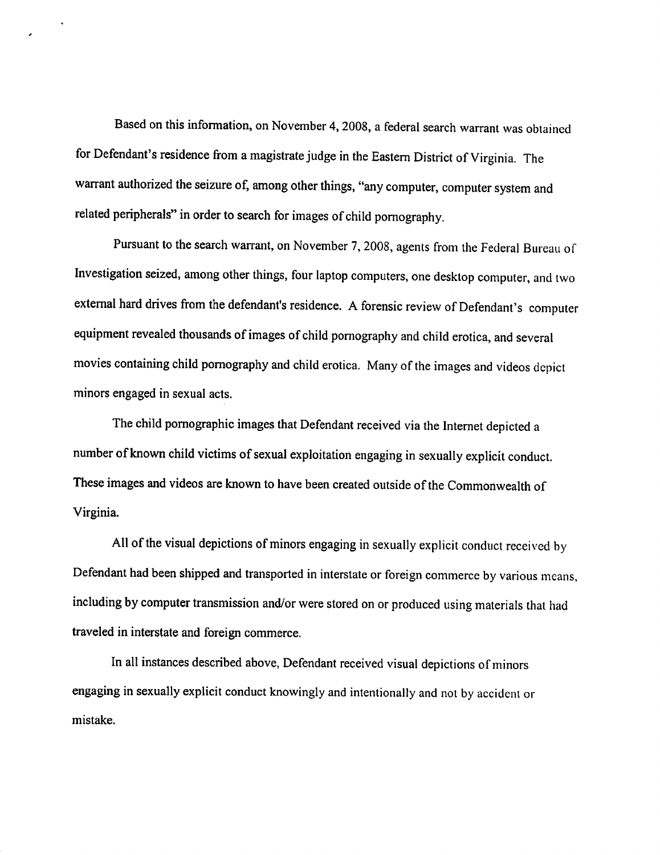Based on this information, on November 4, 2008, a federal search warrant was obtained for Defendant's residence from a magistrate judge in the Eastern District of Virginia. The warrant authorized the seizure of, among other things, "any computer, computer system and related peripherals" in order to search for images of child pornography.

Pursuant to the search warrant, on November 7,2008, agents from the Federal Bureau of Investigation seized, among other things, four laptop computers, one desktop computer, and two external hard drives from the defendant's residence. A forensic review of Defendant's computer equipment revealed thousands of images of child pornography and child erotica, and several movies containing child pornography and child erotica. Many of the images and videos depict minors engaged in sexual acts.

The child pornographic images that Defendant received via the Internet depicted a number of known child victims of sexual exploitation engaging in sexually explicit conduct. These images and videos are known to have been created outside of the Commonwealth of Virginia.

All of the visual depictions of minors engaging in sexually explicit conduct received by Defendant had been shipped and transported in interstate or foreign commerce by various means, including by computer transmission and/or were stored on or produced using materials that had traveled in interstate and foreign commerce.

In all instances described above, Defendant received visual depictions of minors engaging in sexually explicit conduct knowingly and intentionally and not by accident or mistake.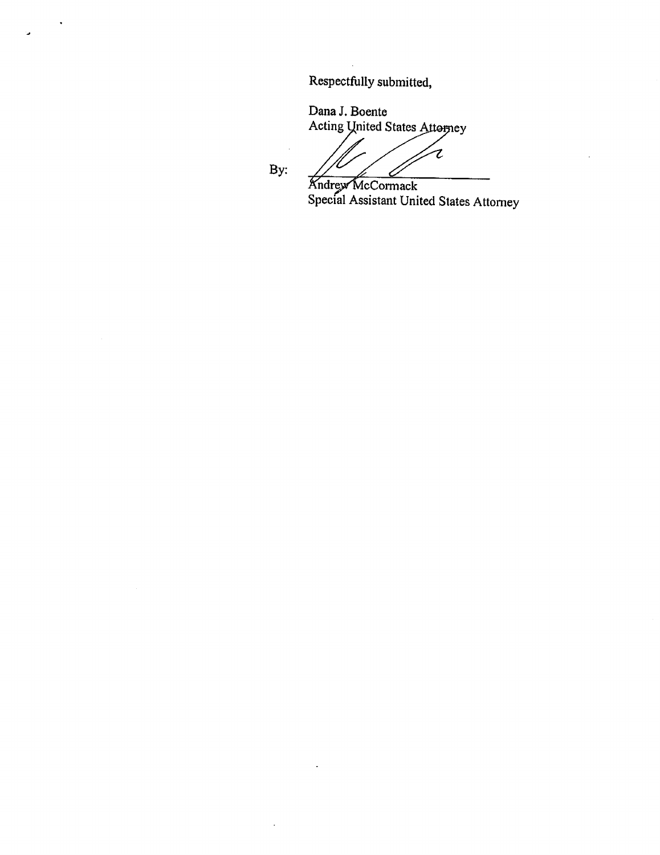Respectfully submitted,

Dana J. Boente Acting Quited States Afterney

Z ८

Andrew McCormack Special Assistant United States Attorney

By: